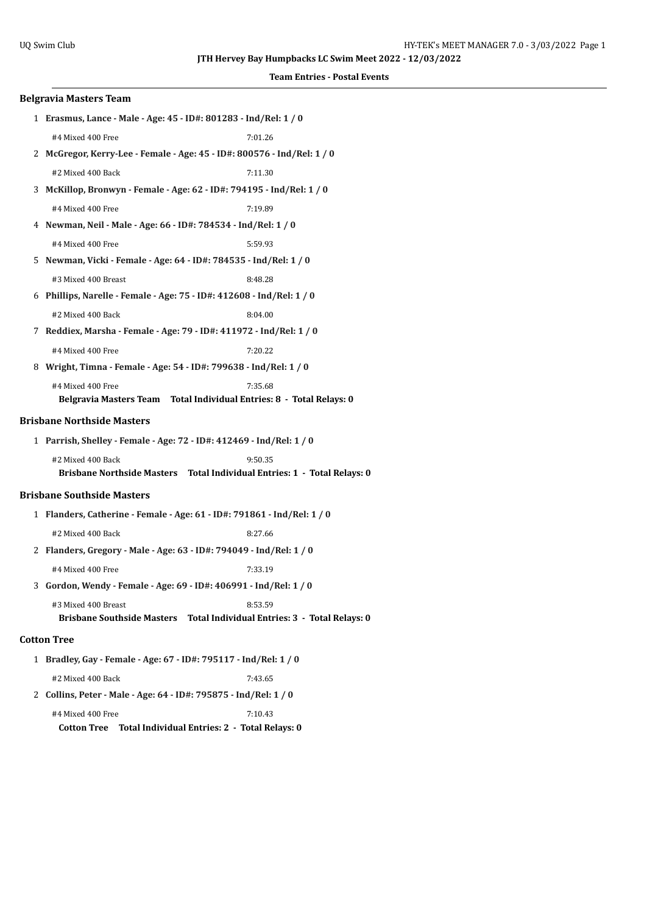## **Events**

|                                                                   | Team Entries - Postal Ev                                                             |  |
|-------------------------------------------------------------------|--------------------------------------------------------------------------------------|--|
| <b>Belgravia Masters Team</b>                                     |                                                                                      |  |
|                                                                   | 1 Erasmus, Lance - Male - Age: 45 - ID#: 801283 - Ind/Rel: 1 / 0                     |  |
| #4 Mixed 400 Free                                                 | 7:01.26                                                                              |  |
|                                                                   | 2 McGregor, Kerry-Lee - Female - Age: 45 - ID#: 800576 - Ind/Rel: 1 / 0              |  |
| #2 Mixed 400 Back                                                 | 7:11.30                                                                              |  |
|                                                                   | 3 McKillop, Bronwyn - Female - Age: 62 - ID#: 794195 - Ind/Rel: 1 / 0                |  |
| #4 Mixed 400 Free                                                 | 7:19.89                                                                              |  |
|                                                                   | 4 Newman, Neil - Male - Age: 66 - ID#: 784534 - Ind/Rel: 1 / 0                       |  |
| #4 Mixed 400 Free                                                 | 5:59.93                                                                              |  |
| 5 Newman, Vicki - Female - Age: 64 - ID#: 784535 - Ind/Rel: 1 / 0 |                                                                                      |  |
| #3 Mixed 400 Breast                                               | 8:48.28                                                                              |  |
|                                                                   | 6 Phillips, Narelle - Female - Age: 75 - ID#: 412608 - Ind/Rel: 1 / 0                |  |
| #2 Mixed 400 Back                                                 | 8:04.00                                                                              |  |
|                                                                   | 7 Reddiex, Marsha - Female - Age: 79 - ID#: 411972 - Ind/Rel: 1 / 0                  |  |
| #4 Mixed 400 Free                                                 | 7:20.22                                                                              |  |
|                                                                   | 8 Wright, Timna - Female - Age: 54 - ID#: 799638 - Ind/Rel: 1 / 0                    |  |
| #4 Mixed 400 Free                                                 | 7:35.68<br>Belgravia Masters Team Total Individual Entries: 8 - Total Relays: 0      |  |
| <b>Brisbane Northside Masters</b>                                 |                                                                                      |  |
|                                                                   | 1 Parrish, Shelley - Female - Age: 72 - ID#: 412469 - Ind/Rel: 1 / 0                 |  |
| #2 Mixed 400 Back                                                 | 9:50.35                                                                              |  |
|                                                                   | Brisbane Northside Masters  Total Individual Entries: 1 - Total Relays: 0            |  |
| <b>Brisbane Southside Masters</b>                                 |                                                                                      |  |
|                                                                   | 1 Flanders, Catherine - Female - Age: 61 - ID#: 791861 - Ind/Rel: 1 / 0              |  |
| #2 Mixed 400 Back                                                 | 8:27.66                                                                              |  |
|                                                                   | 2 Flanders, Gregory - Male - Age: 63 - ID#: 794049 - Ind/Rel: 1 / 0                  |  |
| #4 Mixed 400 Free                                                 | 7:33.19                                                                              |  |
| 3 Gordon, Wendy - Female - Age: 69 - ID#: 406991 - Ind/Rel: 1 / 0 |                                                                                      |  |
| #3 Mixed 400 Breast                                               | 8:53.59<br>Brisbane Southside Masters  Total Individual Entries: 3 - Total Relays: 0 |  |
| <b>Cotton Tree</b>                                                |                                                                                      |  |
|                                                                   | 1 Bradley, Gay - Female - Age: 67 - ID#: 795117 - Ind/Rel: 1 / 0                     |  |
| #2 Mixed 400 Back                                                 | 7:43.65                                                                              |  |
|                                                                   | 2 Collins, Peter - Male - Age: 64 - ID#: 795875 - Ind/Rel: 1 / 0                     |  |
| #4 Mixed 400 Free                                                 | 7:10.43                                                                              |  |
|                                                                   |                                                                                      |  |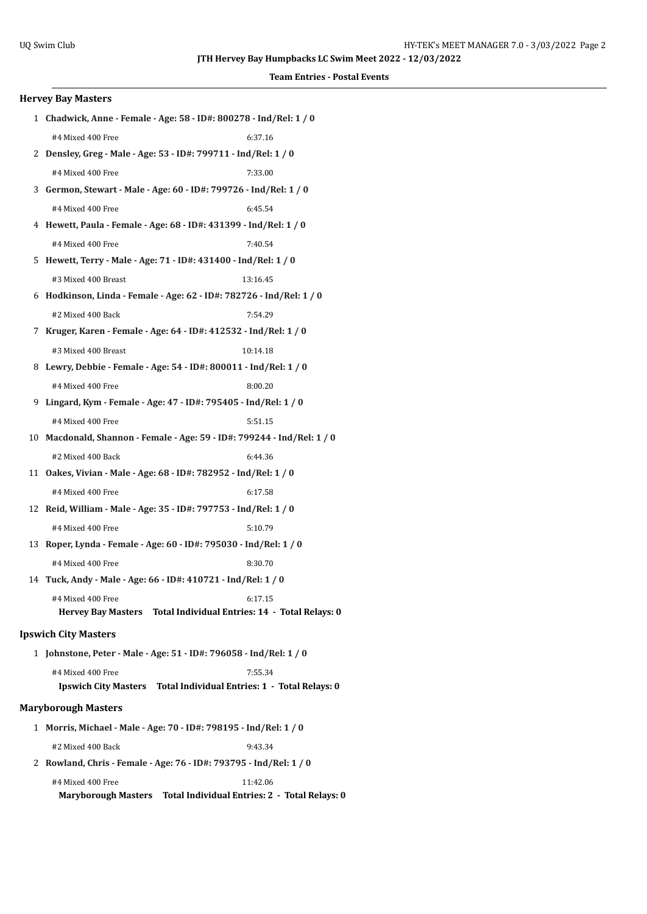**Team Entries - Postal Events**

| <b>Hervey Bay Masters</b>   |                                                                         |
|-----------------------------|-------------------------------------------------------------------------|
|                             | 1 Chadwick, Anne - Female - Age: 58 - ID#: 800278 - Ind/Rel: 1 / 0      |
| #4 Mixed 400 Free           | 6:37.16                                                                 |
|                             | 2 Densley, Greg - Male - Age: 53 - ID#: 799711 - Ind/Rel: 1 / 0         |
| #4 Mixed 400 Free           | 7:33.00                                                                 |
|                             | 3 Germon, Stewart - Male - Age: 60 - ID#: 799726 - Ind/Rel: 1 / 0       |
| #4 Mixed 400 Free           | 6:45.54                                                                 |
|                             | 4 Hewett, Paula - Female - Age: 68 - ID#: 431399 - Ind/Rel: 1 / 0       |
| #4 Mixed 400 Free           | 7:40.54                                                                 |
|                             | 5 Hewett, Terry - Male - Age: 71 - ID#: 431400 - Ind/Rel: 1 / 0         |
| #3 Mixed 400 Breast         | 13:16.45                                                                |
|                             | 6 Hodkinson, Linda - Female - Age: 62 - ID#: 782726 - Ind/Rel: 1 / 0    |
| #2 Mixed 400 Back           | 7:54.29                                                                 |
|                             | 7 Kruger, Karen - Female - Age: 64 - ID#: 412532 - Ind/Rel: 1 / 0       |
| #3 Mixed 400 Breast         | 10:14.18                                                                |
|                             | 8 Lewry, Debbie - Female - Age: 54 - ID#: 800011 - Ind/Rel: 1 / 0       |
| #4 Mixed 400 Free           | 8:00.20                                                                 |
|                             | 9 Lingard, Kym - Female - Age: 47 - ID#: 795405 - Ind/Rel: 1 / 0        |
| #4 Mixed 400 Free           | 5:51.15                                                                 |
|                             | 10 Macdonald, Shannon - Female - Age: 59 - ID#: 799244 - Ind/Rel: 1 / 0 |
| #2 Mixed 400 Back           | 6:44.36                                                                 |
|                             | 11 Oakes, Vivian - Male - Age: 68 - ID#: 782952 - Ind/Rel: 1 / 0        |
| #4 Mixed 400 Free           | 6:17.58                                                                 |
|                             | 12 Reid, William - Male - Age: 35 - ID#: 797753 - Ind/Rel: 1 / 0        |
| #4 Mixed 400 Free           | 5:10.79                                                                 |
|                             | 13 Roper, Lynda - Female - Age: 60 - ID#: 795030 - Ind/Rel: 1 / 0       |
| #4 Mixed 400 Free           | 8:30.70                                                                 |
|                             | 14 Tuck, Andy - Male - Age: 66 - ID#: 410721 - Ind/Rel: 1 / 0           |
| #4 Mixed 400 Free           | 6:17.15                                                                 |
|                             | Hervey Bay Masters Total Individual Entries: 14 - Total Relays: 0       |
| <b>Ipswich City Masters</b> |                                                                         |
|                             | 1 Johnstone, Peter - Male - Age: 51 - ID#: 796058 - Ind/Rel: 1 / 0      |
| #4 Mixed 400 Free           | 7:55.34                                                                 |
|                             | Ipswich City Masters Total Individual Entries: 1 - Total Relays: 0      |
| <b>Maryborough Masters</b>  |                                                                         |
|                             | 1 Morris, Michael - Male - Age: 70 - ID#: 798195 - Ind/Rel: 1 / 0       |
|                             |                                                                         |

#2 Mixed 400 Back 9:43.34

2 **Rowland, Chris - Female - Age: 76 - ID#: 793795 - Ind/Rel: 1 / 0**

| #4 Mixed 400 Free          | 11:42.06                                      |  |
|----------------------------|-----------------------------------------------|--|
| <b>Maryborough Masters</b> | Total Individual Entries: 2 - Total Relays: 0 |  |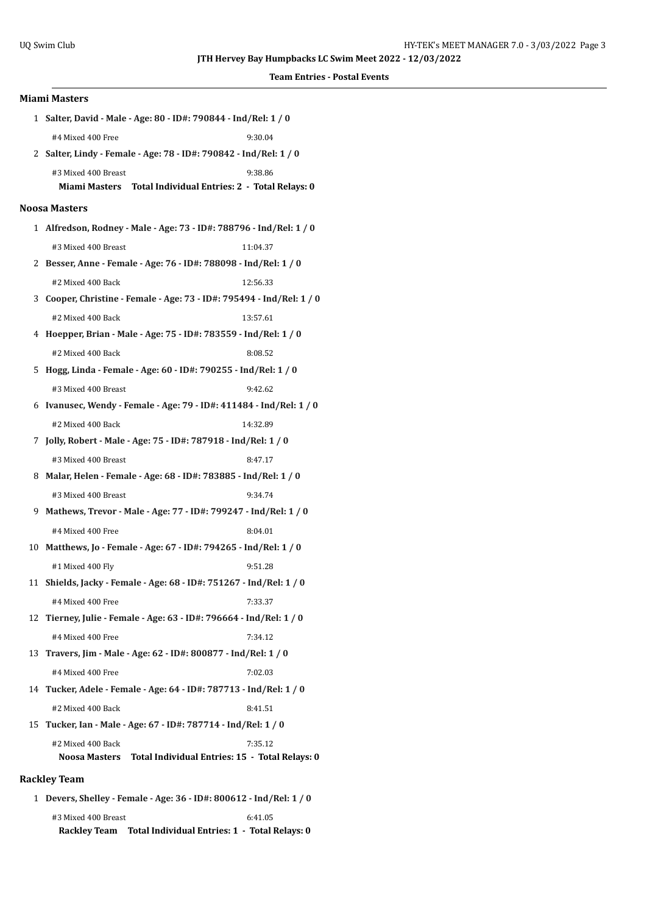| <b>Miami Masters</b> |                      |                                                                       |  |  |
|----------------------|----------------------|-----------------------------------------------------------------------|--|--|
|                      |                      | 1 Salter, David - Male - Age: 80 - ID#: 790844 - Ind/Rel: 1 / 0       |  |  |
|                      | #4 Mixed 400 Free    | 9:30.04                                                               |  |  |
|                      |                      | 2 Salter, Lindy - Female - Age: 78 - ID#: 790842 - Ind/Rel: 1 / 0     |  |  |
|                      | #3 Mixed 400 Breast  | 9:38.86                                                               |  |  |
|                      |                      | Miami Masters Total Individual Entries: 2 - Total Relays: 0           |  |  |
|                      | <b>Noosa Masters</b> |                                                                       |  |  |
|                      |                      | 1 Alfredson, Rodney - Male - Age: 73 - ID#: 788796 - Ind/Rel: 1 / 0   |  |  |
|                      | #3 Mixed 400 Breast  | 11:04.37                                                              |  |  |
|                      |                      | 2 Besser, Anne - Female - Age: 76 - ID#: 788098 - Ind/Rel: 1 / 0      |  |  |
|                      | #2 Mixed 400 Back    | 12:56.33                                                              |  |  |
|                      |                      | 3 Cooper, Christine - Female - Age: 73 - ID#: 795494 - Ind/Rel: 1 / 0 |  |  |
|                      | #2 Mixed 400 Back    | 13:57.61                                                              |  |  |
|                      |                      | 4 Hoepper, Brian - Male - Age: 75 - ID#: 783559 - Ind/Rel: 1 / 0      |  |  |
|                      | #2 Mixed 400 Back    | 8:08.52                                                               |  |  |
|                      |                      | 5 Hogg, Linda - Female - Age: 60 - ID#: 790255 - Ind/Rel: 1 / 0       |  |  |
|                      | #3 Mixed 400 Breast  | 9:42.62                                                               |  |  |
|                      |                      | 6 Ivanusec, Wendy - Female - Age: 79 - ID#: 411484 - Ind/Rel: 1 / 0   |  |  |
|                      | #2 Mixed 400 Back    | 14:32.89                                                              |  |  |
|                      |                      | 7 Jolly, Robert - Male - Age: 75 - ID#: 787918 - Ind/Rel: 1 / 0       |  |  |
|                      | #3 Mixed 400 Breast  | 8:47.17                                                               |  |  |
|                      |                      | 8 Malar, Helen - Female - Age: 68 - ID#: 783885 - Ind/Rel: 1 / 0      |  |  |
|                      | #3 Mixed 400 Breast  | 9:34.74                                                               |  |  |
|                      |                      | 9 Mathews, Trevor - Male - Age: 77 - ID#: 799247 - Ind/Rel: 1 / 0     |  |  |
|                      | #4 Mixed 400 Free    | 8:04.01                                                               |  |  |
|                      |                      | 10 Matthews, Jo - Female - Age: 67 - ID#: 794265 - Ind/Rel: 1 / 0     |  |  |
|                      | #1 Mixed 400 Fly     | 9:51.28                                                               |  |  |
|                      |                      | 11 Shields, Jacky - Female - Age: 68 - ID#: 751267 - Ind/Rel: 1 / 0   |  |  |
|                      | #4 Mixed 400 Free    | 7:33.37                                                               |  |  |
|                      |                      | 12 Tierney, Julie - Female - Age: 63 - ID#: 796664 - Ind/Rel: 1 / 0   |  |  |
|                      | #4 Mixed 400 Free    | 7:34.12                                                               |  |  |
| 13                   |                      | Travers, Jim - Male - Age: 62 - ID#: 800877 - Ind/Rel: 1 / 0          |  |  |
|                      | #4 Mixed 400 Free    | 7:02.03                                                               |  |  |
|                      |                      | 14 Tucker, Adele - Female - Age: 64 - ID#: 787713 - Ind/Rel: 1 / 0    |  |  |
|                      | #2 Mixed 400 Back    | 8:41.51                                                               |  |  |
|                      |                      | 15 Tucker, Ian - Male - Age: 67 - ID#: 787714 - Ind/Rel: 1 / 0        |  |  |
|                      | #2 Mixed 400 Back    | 7:35.12                                                               |  |  |
|                      | Noosa Masters        | Total Individual Entries: 15 - Total Relays: 0                        |  |  |
| <b>Rackley Team</b>  |                      |                                                                       |  |  |

 1 **Devers, Shelley - Female - Age: 36 - ID#: 800612 - Ind/Rel: 1 / 0** #3 Mixed 400 Breast 6:41.05 **Rackley Team Total Individual Entries: 1 - Total Relays: 0**